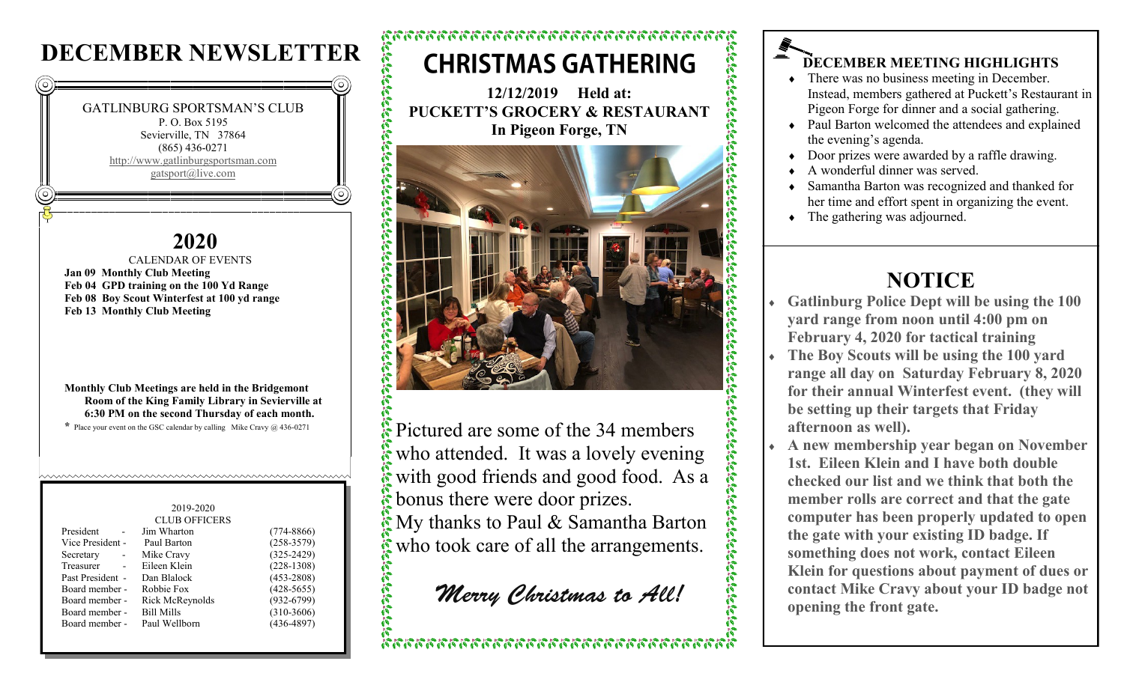# **DECEMBER NEWSLETTER**



### **2020**

 CALENDAR OF EVENTS **Jan 09 Monthly Club Meeting Feb 04 GPD training on the 100 Yd Range Feb 08 Boy Scout Winterfest at 100 yd range Feb 13 Monthly Club Meeting**

**Monthly Club Meetings are held in the Bridgemont Room of the King Family Library in Sevierville at 6:30 PM on the second Thursday of each month.**

huwwwwwwwwwwwwwwwwwwwwwwwwwwwww

**\*** Place your event on the GSC calendar by calling Mike Cravy @ 436-0271

### 2019-2020 CLUB OFFICERS President - Jim Wharton (774-8866) Vice President - Paul Barton (258-3579) Secretary - Mike Cravy (325-2429) Treasurer - Eileen Klein (228-1308) Past President - Dan Blalock (453-2808) Board member - Robbie Fox (428-5655) Board member - Rick McReynolds (932-6799) Board member - Bill Mills (310-3606) Board member - Paul Wellborn (436-4897)

## **CHRISTMAS GATHERING**

**12/12/2019 Held at: PUCKETT'S GROCERY & RESTAURANT In Pigeon Forge, TN**



Pictured are some of the 34 members who attended. It was a lovely evening with good friends and good food. As a bonus there were door prizes. My thanks to Paul & Samantha Barton who took care of all the arrangements.

Merry Christmas to All!

### **DECEMBER MEETING HIGHLIGHTS**

- There was no business meeting in December. Instead, members gathered at Puckett's Restaurant in Pigeon Forge for dinner and a social gathering.
- Paul Barton welcomed the attendees and explained the evening's agenda.
- Door prizes were awarded by a raffle drawing.
- A wonderful dinner was served.

**Ala** 

 $\widehat{\mathcal{L}}_i \widehat{\mathcal{L}}_i \widehat{\mathcal{L}}_i \widehat{\mathcal{L}}_i \widehat{\mathcal{L}}_i$ 

- Samantha Barton was recognized and thanked for her time and effort spent in organizing the event.
- The gathering was adjourned.

# **NOTICE**

- **Gatlinburg Police Dept will be using the 100 yard range from noon until 4:00 pm on February 4, 2020 for tactical training**
- **The Boy Scouts will be using the 100 yard range all day on Saturday February 8, 2020 for their annual Winterfest event. (they will be setting up their targets that Friday afternoon as well).**
- **A new membership year began on November 1st. Eileen Klein and I have both double checked our list and we think that both the member rolls are correct and that the gate computer has been properly updated to open the gate with your existing ID badge. If something does not work, contact Eileen Klein for questions about payment of dues or contact Mike Cravy about your ID badge not opening the front gate.**